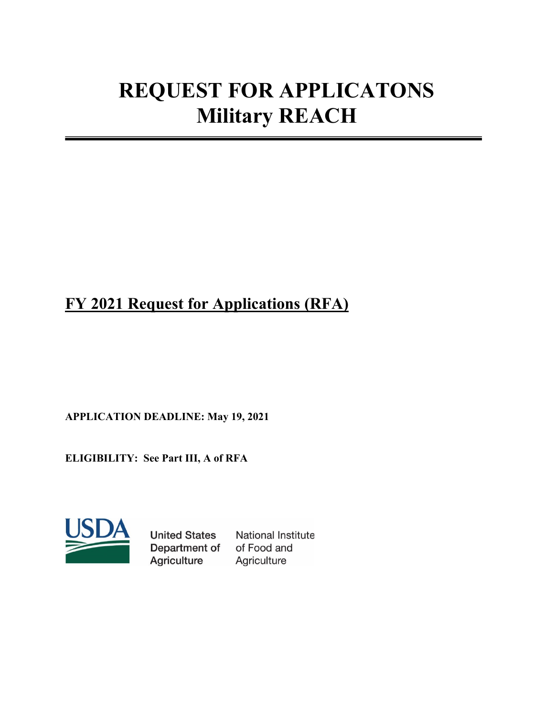# **REQUEST FOR APPLICATONS Military REACH**

# **FY 2021 Request for Applications (RFA)**

**APPLICATION DEADLINE: May 19, 2021** 

**ELIGIBILITY: See Part III, A of RFA**



**United States** Department of Agriculture

National Institute of Food and Agriculture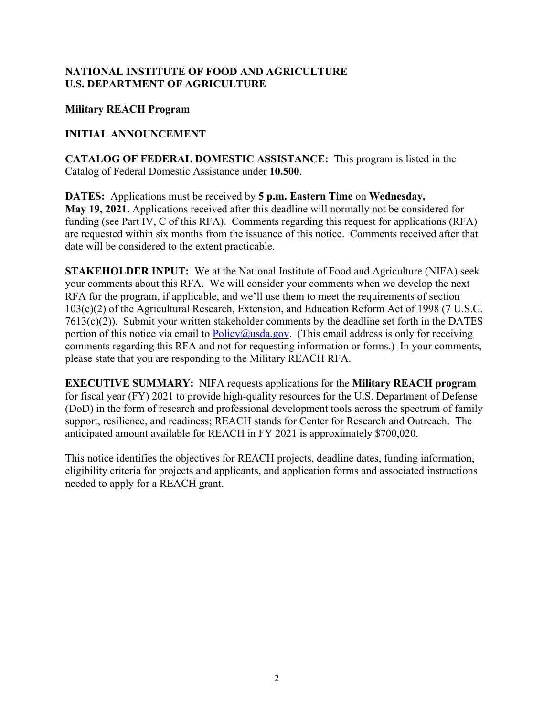#### **NATIONAL INSTITUTE OF FOOD AND AGRICULTURE U.S. DEPARTMENT OF AGRICULTURE**

#### **Military REACH Program**

#### **INITIAL ANNOUNCEMENT**

**CATALOG OF FEDERAL DOMESTIC ASSISTANCE:** This program is listed in the Catalog of Federal Domestic Assistance under **10.500**.

**DATES:** Applications must be received by **5 p.m. Eastern Time** on **Wednesday, May 19, 2021.** Applications received after this deadline will normally not be considered for funding (see Part IV, C of this RFA). Comments regarding this request for applications (RFA) are requested within six months from the issuance of this notice. Comments received after that date will be considered to the extent practicable.

**STAKEHOLDER INPUT:** We at the National Institute of Food and Agriculture (NIFA) seek your comments about this RFA. We will consider your comments when we develop the next RFA for the program, if applicable, and we'll use them to meet the requirements of section 103(c)(2) of the Agricultural Research, Extension, and Education Reform Act of 1998 (7 U.S.C.  $7613(c)(2)$ ). Submit your written stakeholder comments by the deadline set forth in the DATES portion of this notice via email to  $Policy@usda.gov$ . (This email address is only for receiving comments regarding this RFA and not for requesting information or forms.) In your comments, please state that you are responding to the Military REACH RFA.

**EXECUTIVE SUMMARY:** NIFA requests applications for the **Military REACH program** for fiscal year (FY) 2021 to provide high-quality resources for the U.S. Department of Defense (DoD) in the form of research and professional development tools across the spectrum of family support, resilience, and readiness; REACH stands for Center for Research and Outreach. The anticipated amount available for REACH in FY 2021 is approximately \$700,020.

This notice identifies the objectives for REACH projects, deadline dates, funding information, eligibility criteria for projects and applicants, and application forms and associated instructions needed to apply for a REACH grant.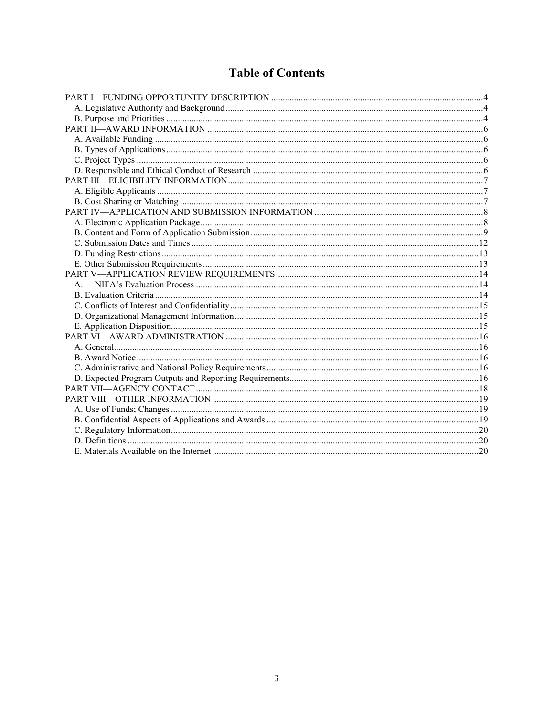# **Table of Contents**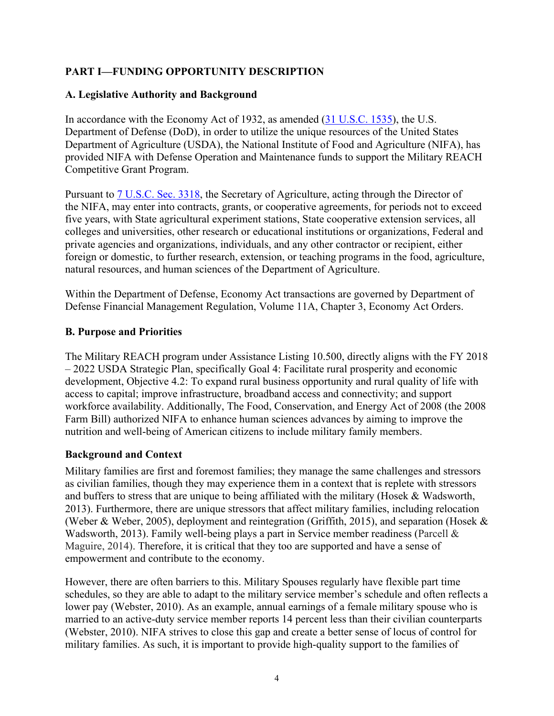# <span id="page-3-0"></span>**PART I—FUNDING OPPORTUNITY DESCRIPTION**

#### <span id="page-3-1"></span>**A. Legislative Authority and Background**

In accordance with the Economy Act of 1932, as amended [\(31 U.S.C. 1535\)](https://uscode.house.gov/view.xhtml?req=(title:31%20section:1535%20edition:prelim)%20OR%20(granuleid:USC-prelim-title31-section1535)&f=treesort&edition=prelim&num=0&jumpTo=true), the U.S. Department of Defense (DoD), in order to utilize the unique resources of the United States Department of Agriculture (USDA), the National Institute of Food and Agriculture (NIFA), has provided NIFA with Defense Operation and Maintenance funds to support the Military REACH Competitive Grant Program.

Pursuant to [7 U.S.C. Sec. 3318,](https://uscode.house.gov/view.xhtml?req=(title:7%20section:3318%20edition:prelim)%20OR%20(granuleid:USC-prelim-title7-section3318)&f=treesort&edition=prelim&num=0&jumpTo=true) the Secretary of Agriculture, acting through the Director of the NIFA, may enter into contracts, grants, or cooperative agreements, for periods not to exceed five years, with State agricultural experiment stations, State cooperative extension services, all colleges and universities, other research or educational institutions or organizations, Federal and private agencies and organizations, individuals, and any other contractor or recipient, either foreign or domestic, to further research, extension, or teaching programs in the food, agriculture, natural resources, and human sciences of the Department of Agriculture.

Within the Department of Defense, Economy Act transactions are governed by Department of Defense Financial Management Regulation, Volume 11A, Chapter 3, Economy Act Orders.

#### <span id="page-3-2"></span>**B. Purpose and Priorities**

The Military REACH program under Assistance Listing 10.500, directly aligns with the FY 2018 – 2022 USDA Strategic Plan, specifically Goal 4: Facilitate rural prosperity and economic development, Objective 4.2: To expand rural business opportunity and rural quality of life with access to capital; improve infrastructure, broadband access and connectivity; and support workforce availability. Additionally, The Food, Conservation, and Energy Act of 2008 (the 2008 Farm Bill) authorized NIFA to enhance human sciences advances by aiming to improve the nutrition and well-being of American citizens to include military family members.

#### **Background and Context**

Military families are first and foremost families; they manage the same challenges and stressors as civilian families, though they may experience them in a context that is replete with stressors and buffers to stress that are unique to being affiliated with the military (Hosek & Wadsworth, 2013). Furthermore, there are unique stressors that affect military families, including relocation (Weber & Weber, 2005), deployment and reintegration (Griffith, 2015), and separation (Hosek & Wadsworth, 2013). Family well-being plays a part in Service member readiness (Parcell & Maguire, 2014). Therefore, it is critical that they too are supported and have a sense of empowerment and contribute to the economy.

However, there are often barriers to this. Military Spouses regularly have flexible part time schedules, so they are able to adapt to the military service member's schedule and often reflects a lower pay (Webster, 2010). As an example, annual earnings of a female military spouse who is married to an active-duty service member reports 14 percent less than their civilian counterparts (Webster, 2010). NIFA strives to close this gap and create a better sense of locus of control for military families. As such, it is important to provide high-quality support to the families of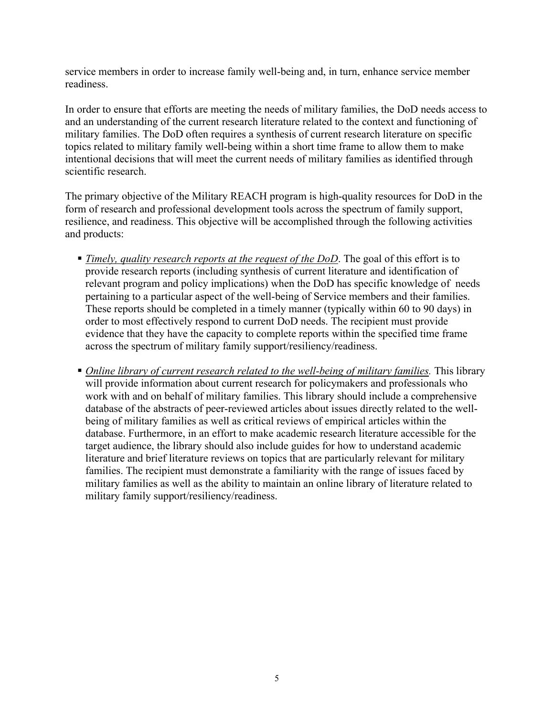service members in order to increase family well-being and, in turn, enhance service member readiness.

In order to ensure that efforts are meeting the needs of military families, the DoD needs access to and an understanding of the current research literature related to the context and functioning of military families. The DoD often requires a synthesis of current research literature on specific topics related to military family well-being within a short time frame to allow them to make intentional decisions that will meet the current needs of military families as identified through scientific research.

The primary objective of the Military REACH program is high-quality resources for DoD in the form of research and professional development tools across the spectrum of family support, resilience, and readiness. This objective will be accomplished through the following activities and products:

- *Timely, quality research reports at the request of the DoD*. The goal of this effort is to provide research reports (including synthesis of current literature and identification of relevant program and policy implications) when the DoD has specific knowledge of needs pertaining to a particular aspect of the well-being of Service members and their families. These reports should be completed in a timely manner (typically within 60 to 90 days) in order to most effectively respond to current DoD needs. The recipient must provide evidence that they have the capacity to complete reports within the specified time frame across the spectrum of military family support/resiliency/readiness.
- *Online library of current research related to the well-being of military families.* This library will provide information about current research for policymakers and professionals who work with and on behalf of military families. This library should include a comprehensive database of the abstracts of peer-reviewed articles about issues directly related to the wellbeing of military families as well as critical reviews of empirical articles within the database. Furthermore, in an effort to make academic research literature accessible for the target audience, the library should also include guides for how to understand academic literature and brief literature reviews on topics that are particularly relevant for military families. The recipient must demonstrate a familiarity with the range of issues faced by military families as well as the ability to maintain an online library of literature related to military family support/resiliency/readiness.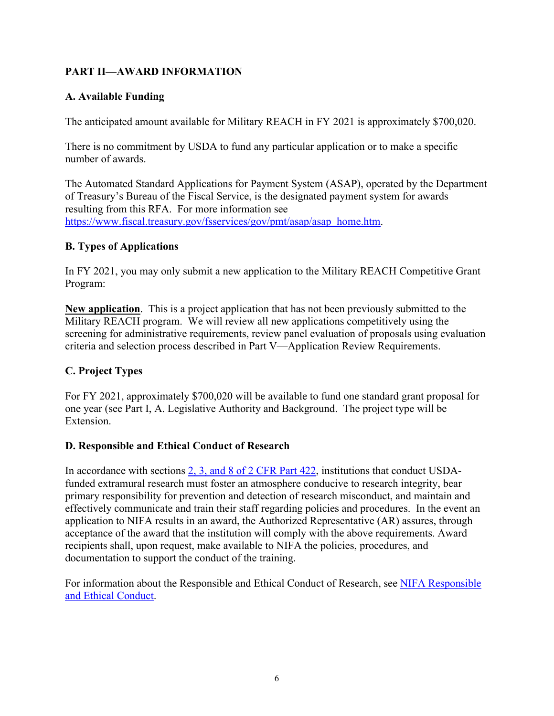# <span id="page-5-0"></span>**PART II—AWARD INFORMATION**

#### <span id="page-5-1"></span>**A. Available Funding**

The anticipated amount available for Military REACH in FY 2021 is approximately \$700,020.

There is no commitment by USDA to fund any particular application or to make a specific number of awards.

The Automated Standard Applications for Payment System (ASAP), operated by the Department of Treasury's Bureau of the Fiscal Service, is the designated payment system for awards resulting from this RFA. For more information see [https://www.fiscal.treasury.gov/fsservices/gov/pmt/asap/asap\\_home.htm.](https://www.fiscal.treasury.gov/fsservices/gov/pmt/asap/asap_home.htm)

#### <span id="page-5-2"></span>**B. Types of Applications**

In FY 2021, you may only submit a new application to the Military REACH Competitive Grant Program:

**New application**. This is a project application that has not been previously submitted to the Military REACH program. We will review all new applications competitively using the screening for administrative requirements, review panel evaluation of proposals using evaluation criteria and selection process described in Part V—Application Review Requirements.

#### <span id="page-5-3"></span>**C. Project Types**

For FY 2021, approximately \$700,020 will be available to fund one standard grant proposal for one year (see Part I, A. Legislative Authority and Background. The project type will be Extension.

#### <span id="page-5-4"></span>**D. Responsible and Ethical Conduct of Research**

In accordance with sections [2, 3, and 8 of 2 CFR Part 422,](https://www.ecfr.gov/cgi-bin/text-idx?SID=4f8df8dd721f5eec3d02f66c4f99e588&mc=true&node=pt2.1.422&rgn=div5) institutions that conduct USDAfunded extramural research must foster an atmosphere conducive to research integrity, bear primary responsibility for prevention and detection of research misconduct, and maintain and effectively communicate and train their staff regarding policies and procedures. In the event an application to NIFA results in an award, the Authorized Representative (AR) assures, through acceptance of the award that the institution will comply with the above requirements. Award recipients shall, upon request, make available to NIFA the policies, procedures, and documentation to support the conduct of the training.

For information about the Responsible and Ethical Conduct of Research, see [NIFA Responsible](https://nifa.usda.gov/responsible-and-ethical-conduct-research)  [and Ethical Conduct.](https://nifa.usda.gov/responsible-and-ethical-conduct-research)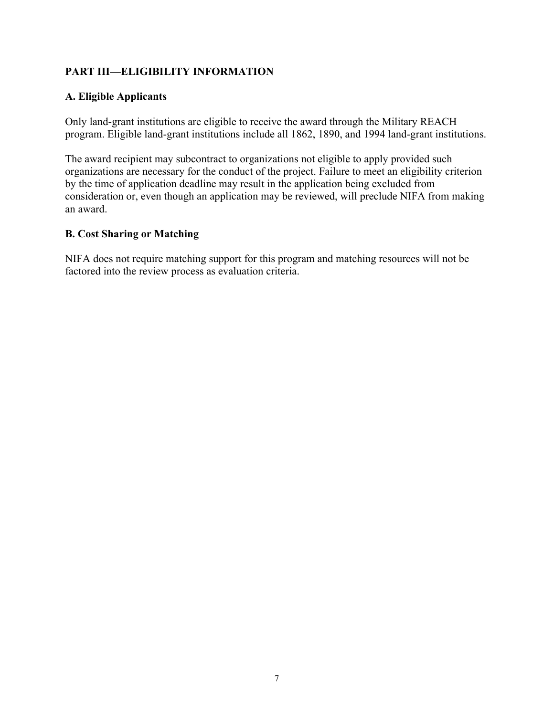# <span id="page-6-0"></span>**PART III—ELIGIBILITY INFORMATION**

# <span id="page-6-1"></span>**A. Eligible Applicants**

Only land-grant institutions are eligible to receive the award through the Military REACH program. Eligible land-grant institutions include all 1862, 1890, and 1994 land-grant institutions.

The award recipient may subcontract to organizations not eligible to apply provided such organizations are necessary for the conduct of the project. Failure to meet an eligibility criterion by the time of application deadline may result in the application being excluded from consideration or, even though an application may be reviewed, will preclude NIFA from making an award.

#### <span id="page-6-2"></span>**B. Cost Sharing or Matching**

NIFA does not require matching support for this program and matching resources will not be factored into the review process as evaluation criteria.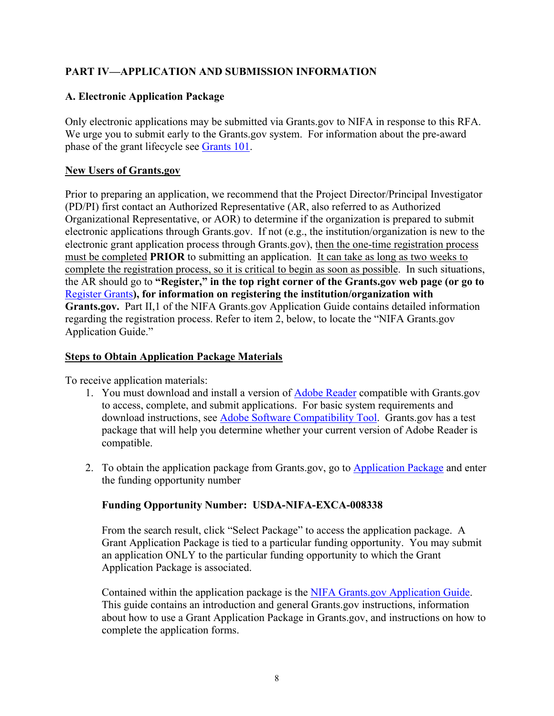# <span id="page-7-0"></span>**PART IV—APPLICATION AND SUBMISSION INFORMATION**

# <span id="page-7-1"></span>**A. Electronic Application Package**

Only electronic applications may be submitted via Grants.gov to NIFA in response to this RFA. We urge you to submit early to the Grants.gov system. For information about the pre-award phase of the grant lifecycle see [Grants 101.](http://www.grants.gov/web/grants/learn-grants/grants-101/pre-award-phase.html)

#### **New Users of Grants.gov**

Prior to preparing an application, we recommend that the Project Director/Principal Investigator (PD/PI) first contact an Authorized Representative (AR, also referred to as Authorized Organizational Representative, or AOR) to determine if the organization is prepared to submit electronic applications through Grants.gov. If not (e.g., the institution/organization is new to the electronic grant application process through Grants.gov), then the one-time registration process must be completed **PRIOR** to submitting an application. It can take as long as two weeks to complete the registration process, so it is critical to begin as soon as possible. In such situations, the AR should go to **"Register," in the top right corner of the Grants.gov web page (or go to**  [Register Grants](http://www.grants.gov/web/grants/register.html)**), for information on registering the institution/organization with Grants.gov.** Part II,1 of the NIFA Grants.gov Application Guide contains detailed information regarding the registration process. Refer to item 2, below, to locate the "NIFA Grants.gov Application Guide."

#### **Steps to Obtain Application Package Materials**

To receive application materials:

- 1. You must download and install a version of [Adobe Reader](https://get.adobe.com/reader/) compatible with Grants.gov to access, complete, and submit applications. For basic system requirements and download instructions, see [Adobe Software Compatibility Tool.](http://www.grants.gov/web/grants/applicants/adobe-software-compatibility.html) Grants.gov has a test package that will help you determine whether your current version of Adobe Reader is compatible.
- 2. To obtain the application package from Grants.gov, go to [Application Package](http://www.grants.gov/web/grants/applicants/download-application-package.html) and enter the funding opportunity number

#### **Funding Opportunity Number: USDA-NIFA-EXCA-008338**

From the search result, click "Select Package" to access the application package. A Grant Application Package is tied to a particular funding opportunity. You may submit an application ONLY to the particular funding opportunity to which the Grant Application Package is associated.

Contained within the application package is the [NIFA Grants.gov Application Guide.](https://apply07.grants.gov/apply/opportunities/instructions/PKG00249520-instructions.pdf) This guide contains an introduction and general Grants.gov instructions, information about how to use a Grant Application Package in Grants.gov, and instructions on how to complete the application forms.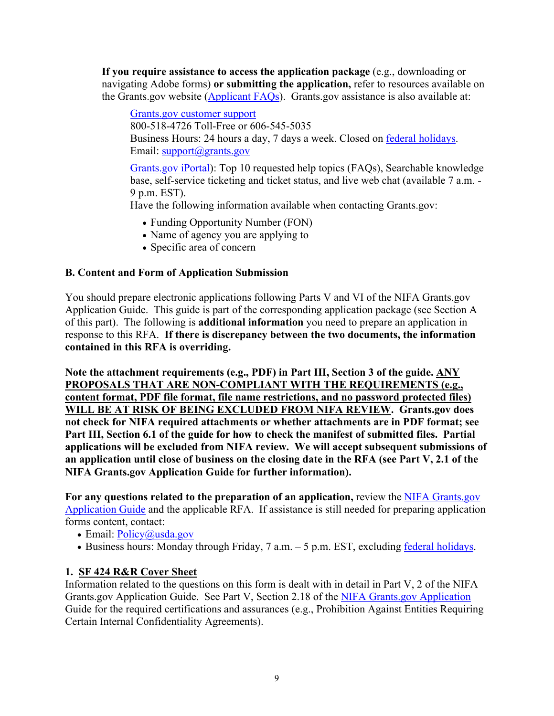**If you require assistance to access the application package** (e.g., downloading or navigating Adobe forms) **or submitting the application,** refer to resources available on the Grants.gov website [\(Applicant FAQs\)](https://www.grants.gov/web/grants/applicants/applicant-faqs.html). Grants.gov assistance is also available at:

[Grants.gov customer support](https://www.grants.gov/web/grants/support.html) 800-518-4726 Toll-Free or 606-545-5035 Business Hours: 24 hours a day, 7 days a week. Closed on **federal holidays**. Email: [support@grants.gov](mailto:support@grants.gov)

[Grants.gov iPortal\)](https://cscnpsprod.servicenowservices.com/hhs_grants?pt=Grants): Top 10 requested help topics (FAQs), Searchable knowledge base, self-service ticketing and ticket status, and live web chat (available 7 a.m. - 9 p.m. EST).

Have the following information available when contacting Grants.gov:

- Funding Opportunity Number (FON)
- Name of agency you are applying to
- Specific area of concern

# <span id="page-8-0"></span>**B. Content and Form of Application Submission**

You should prepare electronic applications following Parts V and VI of the NIFA Grants.gov Application Guide. This guide is part of the corresponding application package (see Section A of this part). The following is **additional information** you need to prepare an application in response to this RFA. **If there is discrepancy between the two documents, the information contained in this RFA is overriding.** 

**Note the attachment requirements (e.g., PDF) in Part III, Section 3 of the guide. ANY PROPOSALS THAT ARE NON-COMPLIANT WITH THE REQUIREMENTS (e.g., content format, PDF file format, file name restrictions, and no password protected files) WILL BE AT RISK OF BEING EXCLUDED FROM NIFA REVIEW. Grants.gov does not check for NIFA required attachments or whether attachments are in PDF format; see Part III, Section 6.1 of the guide for how to check the manifest of submitted files. Partial applications will be excluded from NIFA review. We will accept subsequent submissions of an application until close of business on the closing date in the RFA (see Part V, 2.1 of the NIFA Grants.gov Application Guide for further information).** 

For any questions related to the preparation of an application, review the **NIFA Grants.gov** [Application Guide](https://apply07.grants.gov/apply/opportunities/instructions/PKG00249520-instructions.pdf) and the applicable RFA. If assistance is still needed for preparing application forms content, contact:

- Email: [Policy@usda.gov](mailto:Policy@usda.gov)
- Business hours: Monday through Friday, 7 a.m. 5 p.m. EST, excluding [federal holidays.](https://www.opm.gov/policy-data-oversight/snow-dismissal-procedures/federal-holidays/)

# **1. SF 424 R&R Cover Sheet**

Information related to the questions on this form is dealt with in detail in Part V, 2 of the NIFA Grants.gov Application Guide. See Part V, Section 2.18 of the [NIFA Grants.gov Application](https://apply07.grants.gov/apply/opportunities/instructions/PKG00249520-instructions.pdf) Guide for the required certifications and assurances (e.g., Prohibition Against Entities Requiring Certain Internal Confidentiality Agreements).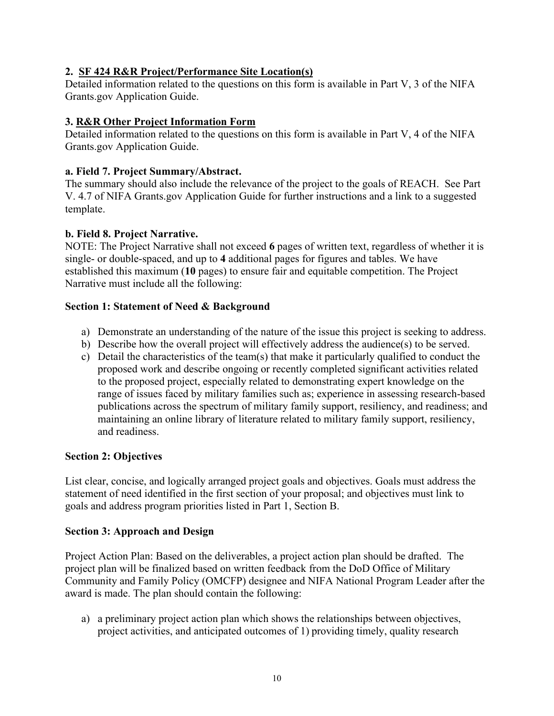# **2. SF 424 R&R Project/Performance Site Location(s)**

Detailed information related to the questions on this form is available in Part V, 3 of the NIFA Grants.gov Application Guide.

# **3. R&R Other Project Information Form**

Detailed information related to the questions on this form is available in Part V, 4 of the NIFA Grants.gov Application Guide.

#### **a. Field 7. Project Summary/Abstract.**

The summary should also include the relevance of the project to the goals of REACH. See Part V. 4.7 of NIFA Grants.gov Application Guide for further instructions and a link to a suggested template.

# **b. Field 8. Project Narrative.**

NOTE: The Project Narrative shall not exceed **6** pages of written text, regardless of whether it is single- or double-spaced, and up to **4** additional pages for figures and tables. We have established this maximum (**10** pages) to ensure fair and equitable competition. The Project Narrative must include all the following:

#### **Section 1: Statement of Need & Background**

- a) Demonstrate an understanding of the nature of the issue this project is seeking to address.
- b) Describe how the overall project will effectively address the audience(s) to be served.
- c) Detail the characteristics of the team(s) that make it particularly qualified to conduct the proposed work and describe ongoing or recently completed significant activities related to the proposed project, especially related to demonstrating expert knowledge on the range of issues faced by military families such as; experience in assessing research-based publications across the spectrum of military family support, resiliency, and readiness; and maintaining an online library of literature related to military family support, resiliency, and readiness.

#### **Section 2: Objectives**

List clear, concise, and logically arranged project goals and objectives. Goals must address the statement of need identified in the first section of your proposal; and objectives must link to goals and address program priorities listed in Part 1, Section B.

#### **Section 3: Approach and Design**

Project Action Plan: Based on the deliverables, a project action plan should be drafted. The project plan will be finalized based on written feedback from the DoD Office of Military Community and Family Policy (OMCFP) designee and NIFA National Program Leader after the award is made. The plan should contain the following:

a) a preliminary project action plan which shows the relationships between objectives, project activities, and anticipated outcomes of 1) providing timely, quality research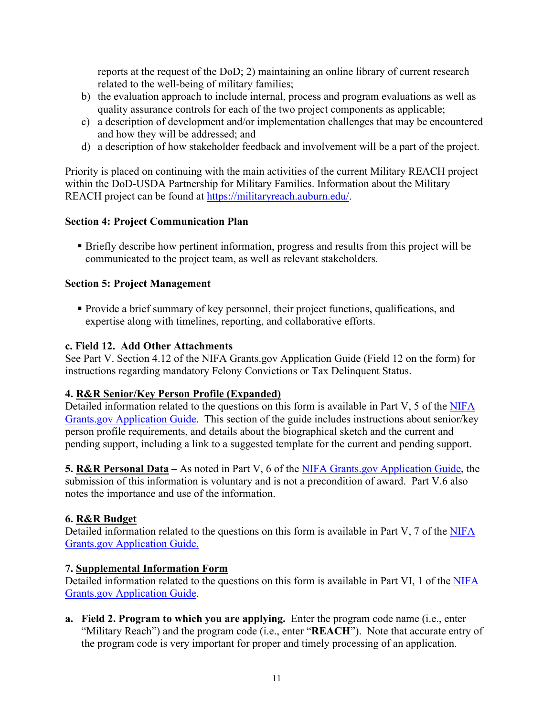reports at the request of the DoD; 2) maintaining an online library of current research related to the well-being of military families;

- b) the evaluation approach to include internal, process and program evaluations as well as quality assurance controls for each of the two project components as applicable;
- c) a description of development and/or implementation challenges that may be encountered and how they will be addressed; and
- d) a description of how stakeholder feedback and involvement will be a part of the project.

Priority is placed on continuing with the main activities of the current Military REACH project within the DoD-USDA Partnership for Military Families. Information about the Military REACH project can be found at [https://militaryreach.auburn.edu/.](https://militaryreach.auburn.edu/)

#### **Section 4: Project Communication Plan**

 Briefly describe how pertinent information, progress and results from this project will be communicated to the project team, as well as relevant stakeholders.

# **Section 5: Project Management**

 Provide a brief summary of key personnel, their project functions, qualifications, and expertise along with timelines, reporting, and collaborative efforts.

#### **c. Field 12. Add Other Attachments**

See Part V. Section 4.12 of the NIFA Grants.gov Application Guide (Field 12 on the form) for instructions regarding mandatory Felony Convictions or Tax Delinquent Status.

# **4. R&R Senior/Key Person Profile (Expanded)**

Detailed information related to the questions on this form is available in Part V, 5 of the [NIFA](https://apply07.grants.gov/apply/opportunities/instructions/PKG00249520-instructions.pdf) [Grants.gov Application Guide.](https://apply07.grants.gov/apply/opportunities/instructions/PKG00249520-instructions.pdf) This section of the guide includes instructions about senior/key person profile requirements, and details about the biographical sketch and the current and pending support, including a link to a suggested template for the current and pending support.

**5. R&R Personal Data –** As noted in Part V, 6 of the NIFA [Grants.gov Application Guide,](https://apply07.grants.gov/apply/opportunities/instructions/PKG00249520-instructions.pdf) the submission of this information is voluntary and is not a precondition of award. Part V.6 also notes the importance and use of the information.

#### **6. R&R Budget**

Detailed information related to the questions on this form is available in Part V, 7 of the [NIFA](https://apply07.grants.gov/apply/opportunities/instructions/PKG00249520-instructions.pdf) [Grants.gov Application Guide.](https://apply07.grants.gov/apply/opportunities/instructions/PKG00249520-instructions.pdf)

#### **7. Supplemental Information Form**

Detailed information related to the questions on this form is available in Part VI, 1 of the [NIFA](https://apply07.grants.gov/apply/opportunities/instructions/PKG00249520-instructions.pdf) [Grants.gov Application Guide.](https://apply07.grants.gov/apply/opportunities/instructions/PKG00249520-instructions.pdf)

**a. Field 2. Program to which you are applying.** Enter the program code name (i.e., enter "Military Reach") and the program code (i.e., enter "**REACH**"). Note that accurate entry of the program code is very important for proper and timely processing of an application.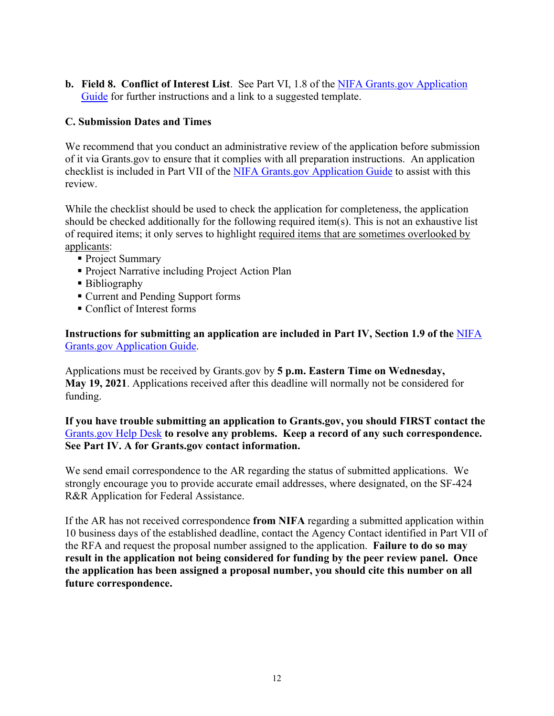**b. Field 8. Conflict of Interest List**. See Part VI, 1.8 of the [NIFA Grants.gov Application](https://apply07.grants.gov/apply/opportunities/instructions/PKG00249520-instructions.pdf)  [Guide](https://apply07.grants.gov/apply/opportunities/instructions/PKG00249520-instructions.pdf) for further instructions and a link to a suggested template.

#### <span id="page-11-0"></span>**C. Submission Dates and Times**

We recommend that you conduct an administrative review of the application before submission of it via Grants.gov to ensure that it complies with all preparation instructions. An application checklist is included in Part VII of the [NIFA Grants.gov Application Guide](https://apply07.grants.gov/apply/opportunities/instructions/PKG00249520-instructions.pdf) to assist with this review.

While the checklist should be used to check the application for completeness, the application should be checked additionally for the following required item(s). This is not an exhaustive list of required items; it only serves to highlight required items that are sometimes overlooked by applicants:

- Project Summary
- **Project Narrative including Project Action Plan**
- **Bibliography**
- Current and Pending Support forms
- Conflict of Interest forms

**Instructions for submitting an application are included in Part IV, Section 1.9 of the** [NIFA](https://apply07.grants.gov/apply/opportunities/instructions/PKG00249520-instructions.pdf) [Grants.gov Application Guide.](https://apply07.grants.gov/apply/opportunities/instructions/PKG00249520-instructions.pdf)

Applications must be received by Grants.gov by **5 p.m. Eastern Time on Wednesday, May 19, 2021**. Applications received after this deadline will normally not be considered for funding.

**If you have trouble submitting an application to Grants.gov, you should FIRST contact the**  [Grants.gov Help Desk](https://www.grants.gov/web/grants/support.html) **to resolve any problems. Keep a record of any such correspondence. See Part IV. A for Grants.gov contact information.**

We send email correspondence to the AR regarding the status of submitted applications. We strongly encourage you to provide accurate email addresses, where designated, on the SF-424 R&R Application for Federal Assistance.

<span id="page-11-1"></span>If the AR has not received correspondence **from NIFA** regarding a submitted application within 10 business days of the established deadline, contact the Agency Contact identified in Part VII of the RFA and request the proposal number assigned to the application. **Failure to do so may result in the application not being considered for funding by the peer review panel. Once the application has been assigned a proposal number, you should cite this number on all future correspondence.**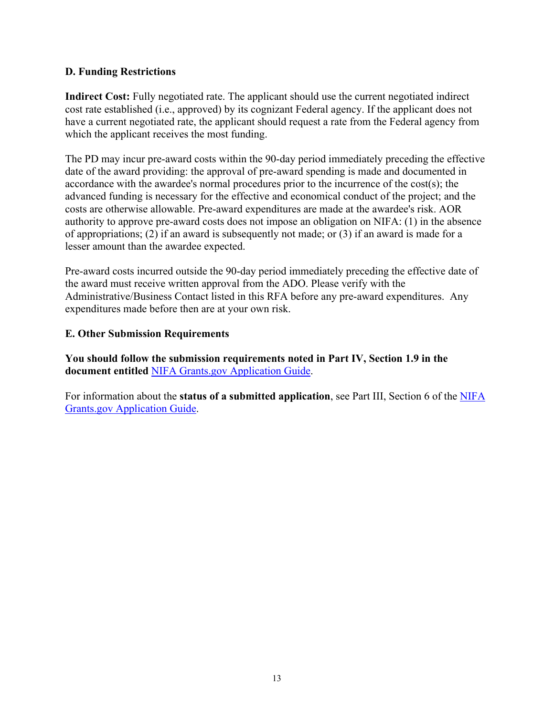#### **D. Funding Restrictions**

**Indirect Cost:** Fully negotiated rate. The applicant should use the current negotiated indirect cost rate established (i.e., approved) by its cognizant Federal agency. If the applicant does not have a current negotiated rate, the applicant should request a rate from the Federal agency from which the applicant receives the most funding.

The PD may incur pre-award costs within the 90-day period immediately preceding the effective date of the award providing: the approval of pre-award spending is made and documented in accordance with the awardee's normal procedures prior to the incurrence of the cost(s); the advanced funding is necessary for the effective and economical conduct of the project; and the costs are otherwise allowable. Pre-award expenditures are made at the awardee's risk. AOR authority to approve pre-award costs does not impose an obligation on NIFA: (1) in the absence of appropriations; (2) if an award is subsequently not made; or (3) if an award is made for a lesser amount than the awardee expected.

Pre-award costs incurred outside the 90-day period immediately preceding the effective date of the award must receive written approval from the ADO. Please verify with the Administrative/Business Contact listed in this RFA before any pre-award expenditures. Any expenditures made before then are at your own risk.

#### <span id="page-12-0"></span>**E. Other Submission Requirements**

**You should follow the submission requirements noted in Part IV, Section 1.9 in the document entitled** [NIFA Grants.gov Application Guide.](https://apply07.grants.gov/apply/opportunities/instructions/PKG00249520-instructions.pdf)

For information about the **status of a submitted application**, see Part III, Section 6 of the [NIFA](https://apply07.grants.gov/apply/opportunities/instructions/PKG00249520-instructions.pdf)  [Grants.gov Application Guide.](https://apply07.grants.gov/apply/opportunities/instructions/PKG00249520-instructions.pdf)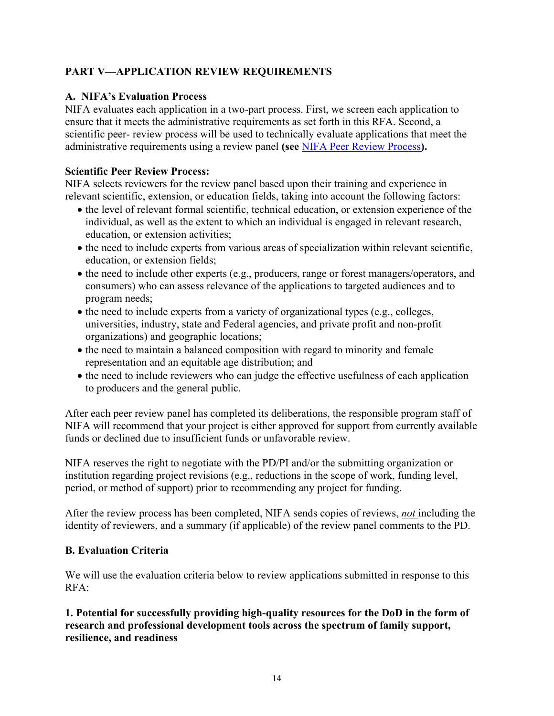# <span id="page-13-0"></span>**PART V—APPLICATION REVIEW REQUIREMENTS**

#### <span id="page-13-1"></span>**A. NIFA's Evaluation Process**

NIFA evaluates each application in a two-part process. First, we screen each application to ensure that it meets the administrative requirements as set forth in this RFA. Second, a scientific peer- review process will be used to technically evaluate applications that meet the administrative requirements using a review panel **(see** [NIFA Peer Review Process](https://nifa.usda.gov/sites/default/files/resource/NIFA-Peer-Review-Process-for-Competitive-Grant-Applications_0.pdf)**).**

#### **Scientific Peer Review Process:**

NIFA selects reviewers for the review panel based upon their training and experience in relevant scientific, extension, or education fields, taking into account the following factors:

- the level of relevant formal scientific, technical education, or extension experience of the individual, as well as the extent to which an individual is engaged in relevant research, education, or extension activities;
- the need to include experts from various areas of specialization within relevant scientific, education, or extension fields;
- the need to include other experts (e.g., producers, range or forest managers/operators, and consumers) who can assess relevance of the applications to targeted audiences and to program needs;
- the need to include experts from a variety of organizational types (e.g., colleges, universities, industry, state and Federal agencies, and private profit and non-profit organizations) and geographic locations;
- the need to maintain a balanced composition with regard to minority and female representation and an equitable age distribution; and
- the need to include reviewers who can judge the effective usefulness of each application to producers and the general public.

After each peer review panel has completed its deliberations, the responsible program staff of NIFA will recommend that your project is either approved for support from currently available funds or declined due to insufficient funds or unfavorable review.

NIFA reserves the right to negotiate with the PD/PI and/or the submitting organization or institution regarding project revisions (e.g., reductions in the scope of work, funding level, period, or method of support) prior to recommending any project for funding.

After the review process has been completed, NIFA sends copies of reviews, *not* including the identity of reviewers, and a summary (if applicable) of the review panel comments to the PD.

#### <span id="page-13-2"></span>**B. Evaluation Criteria**

We will use the evaluation criteria below to review applications submitted in response to this RFA:

**1. Potential for successfully providing high-quality resources for the DoD in the form of research and professional development tools across the spectrum of family support, resilience, and readiness**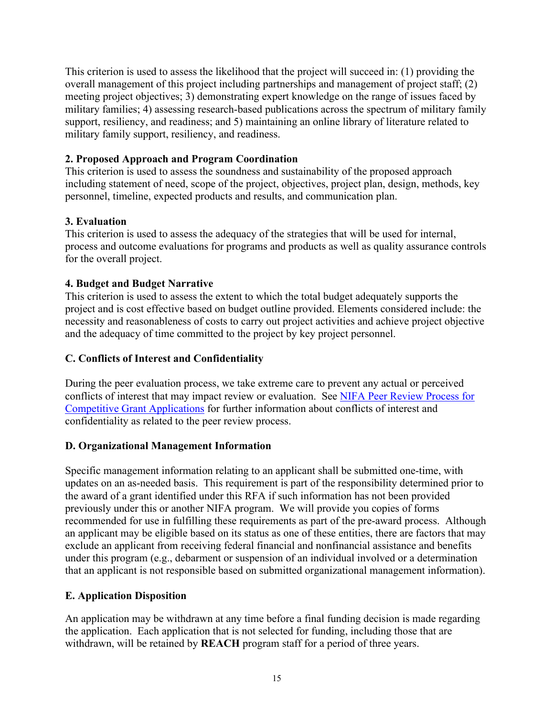This criterion is used to assess the likelihood that the project will succeed in: (1) providing the overall management of this project including partnerships and management of project staff; (2) meeting project objectives; 3) demonstrating expert knowledge on the range of issues faced by military families; 4) assessing research-based publications across the spectrum of military family support, resiliency, and readiness; and 5) maintaining an online library of literature related to military family support, resiliency, and readiness.

#### **2. Proposed Approach and Program Coordination**

This criterion is used to assess the soundness and sustainability of the proposed approach including statement of need, scope of the project, objectives, project plan, design, methods, key personnel, timeline, expected products and results, and communication plan.

# **3. Evaluation**

This criterion is used to assess the adequacy of the strategies that will be used for internal, process and outcome evaluations for programs and products as well as quality assurance controls for the overall project.

# **4. Budget and Budget Narrative**

This criterion is used to assess the extent to which the total budget adequately supports the project and is cost effective based on budget outline provided. Elements considered include: the necessity and reasonableness of costs to carry out project activities and achieve project objective and the adequacy of time committed to the project by key project personnel.

#### <span id="page-14-0"></span>**C. Conflicts of Interest and Confidentiality**

During the peer evaluation process, we take extreme care to prevent any actual or perceived conflicts of interest that may impact review or evaluation. See [NIFA Peer Review Process for](https://nifa.usda.gov/resource/nifa-peer-review-process-competitive-grant-applications)  [Competitive Grant Applications](https://nifa.usda.gov/resource/nifa-peer-review-process-competitive-grant-applications) for further information about conflicts of interest and confidentiality as related to the peer review process.

#### <span id="page-14-1"></span>**D. Organizational Management Information**

Specific management information relating to an applicant shall be submitted one-time, with updates on an as-needed basis. This requirement is part of the responsibility determined prior to the award of a grant identified under this RFA if such information has not been provided previously under this or another NIFA program. We will provide you copies of forms recommended for use in fulfilling these requirements as part of the pre-award process. Although an applicant may be eligible based on its status as one of these entities, there are factors that may exclude an applicant from receiving federal financial and nonfinancial assistance and benefits under this program (e.g., debarment or suspension of an individual involved or a determination that an applicant is not responsible based on submitted organizational management information).

#### <span id="page-14-2"></span>**E. Application Disposition**

An application may be withdrawn at any time before a final funding decision is made regarding the application. Each application that is not selected for funding, including those that are withdrawn, will be retained by **REACH** program staff for a period of three years.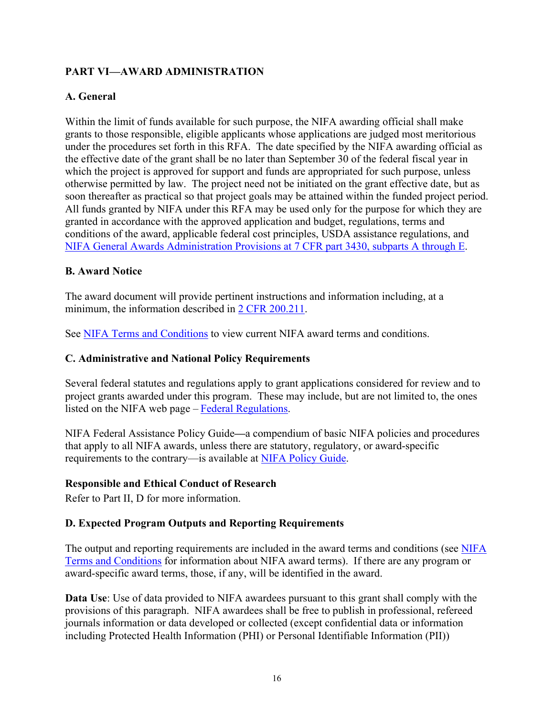# <span id="page-15-0"></span>**PART VI—AWARD ADMINISTRATION**

# <span id="page-15-1"></span>**A. General**

Within the limit of funds available for such purpose, the NIFA awarding official shall make grants to those responsible, eligible applicants whose applications are judged most meritorious under the procedures set forth in this RFA. The date specified by the NIFA awarding official as the effective date of the grant shall be no later than September 30 of the federal fiscal year in which the project is approved for support and funds are appropriated for such purpose, unless otherwise permitted by law. The project need not be initiated on the grant effective date, but as soon thereafter as practical so that project goals may be attained within the funded project period. All funds granted by NIFA under this RFA may be used only for the purpose for which they are granted in accordance with the approved application and budget, regulations, terms and conditions of the award, applicable federal cost principles, USDA assistance regulations, and [NIFA General Awards Administration Provisions at 7 CFR part 3430, subparts A through E.](https://www.ecfr.gov/cgi-bin/text-idx?SID=1c7e52c7a482853e35948cdc9d09756c&mc=true&node=pt7.15.3430&rgn=div5)

#### <span id="page-15-2"></span>**B. Award Notice**

The award document will provide pertinent instructions and information including, at a minimum, the information described in [2 CFR 200.211.](https://www.ecfr.gov/cgi-bin/retrieveECFR?gp=&SID=26c043b0a0041aa4470ba5aafa392a66&mc=true&n=sp2.1.200.c&r=SUBPART&ty=HTML#se2.1.200_1211)

See [NIFA Terms and Conditions](https://nifa.usda.gov/terms-and-conditions) to view current NIFA award terms and conditions.

#### <span id="page-15-3"></span>**C. Administrative and National Policy Requirements**

Several federal statutes and regulations apply to grant applications considered for review and to project grants awarded under this program. These may include, but are not limited to, the ones listed on the NIFA web page – [Federal Regulations.](https://nifa.usda.gov/federal-regulations)

NIFA Federal Assistance Policy Guide**—**a compendium of basic NIFA policies and procedures that apply to all NIFA awards, unless there are statutory, regulatory, or award-specific requirements to the contrary—is available at [NIFA Policy Guide.](https://nifa.usda.gov/policy-guide)

#### **Responsible and Ethical Conduct of Research**

Refer to Part II, D for more information.

#### <span id="page-15-4"></span>**D. Expected Program Outputs and Reporting Requirements**

The output and reporting requirements are included in the award terms and conditions (see [NIFA](https://nifa.usda.gov/terms-and-conditions)  [Terms and Conditions](https://nifa.usda.gov/terms-and-conditions) for information about NIFA award terms). If there are any program or award-specific award terms, those, if any, will be identified in the award.

**Data Use**: Use of data provided to NIFA awardees pursuant to this grant shall comply with the provisions of this paragraph. NIFA awardees shall be free to publish in professional, refereed journals information or data developed or collected (except confidential data or information including Protected Health Information (PHI) or Personal Identifiable Information (PII))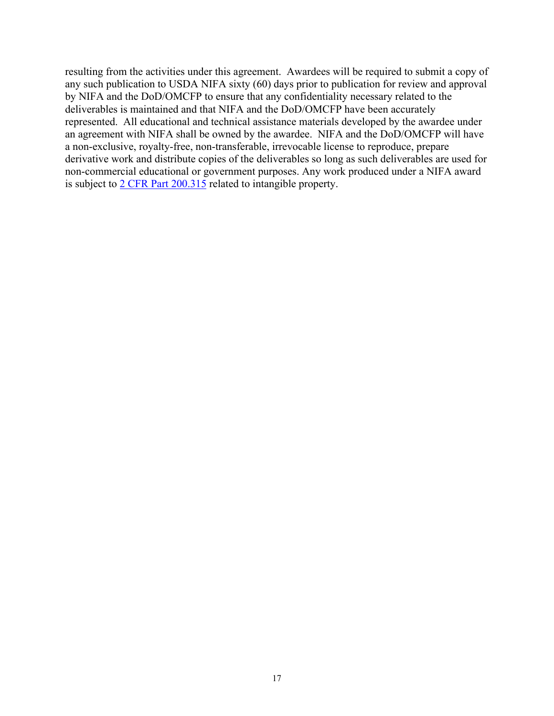resulting from the activities under this agreement. Awardees will be required to submit a copy of any such publication to USDA NIFA sixty (60) days prior to publication for review and approval by NIFA and the DoD/OMCFP to ensure that any confidentiality necessary related to the deliverables is maintained and that NIFA and the DoD/OMCFP have been accurately represented. All educational and technical assistance materials developed by the awardee under an agreement with NIFA shall be owned by the awardee. NIFA and the DoD/OMCFP will have a non-exclusive, royalty-free, non-transferable, irrevocable license to reproduce, prepare derivative work and distribute copies of the deliverables so long as such deliverables are used for non-commercial educational or government purposes. Any work produced under a NIFA award is subject to [2 CFR Part 200.315](https://www.ecfr.gov/cgi-bin/text-idx?SID=61f815cb7be46f4bc3e7660a0fc04b53&mc=true&node=pt2.1.200&rgn=div5#se2.1.200_1315) related to intangible property.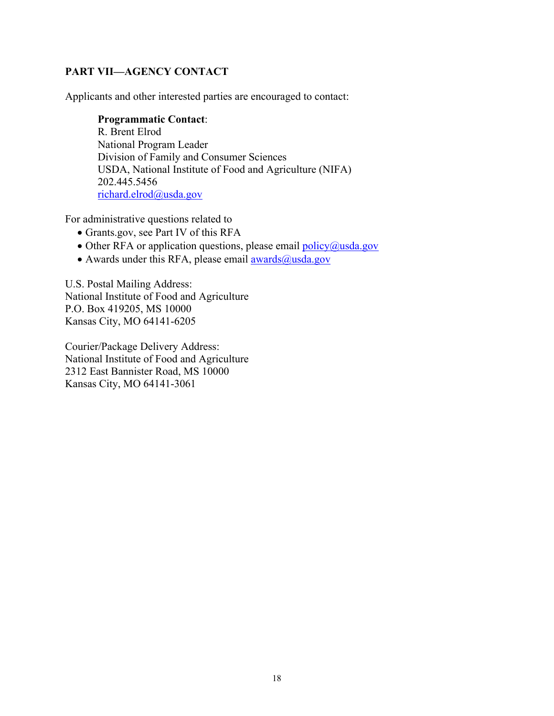# <span id="page-17-0"></span>**PART VII—AGENCY CONTACT**

Applicants and other interested parties are encouraged to contact:

#### **Programmatic Contact**:

R. Brent Elrod National Program Leader Division of Family and Consumer Sciences USDA, National Institute of Food and Agriculture (NIFA) 202.445.5456 [richard.elrod@usda.gov](mailto:richard.elrod@usda.gov)

For administrative questions related to

- Grants.gov, see Part IV of this RFA
- Other RFA or application questions, please email  $\frac{\text{policy}(a)\text{usda.gov}}{\text{?}}$
- Awards under this RFA, please email  $\frac{\text{awards}(a)}{\text{wsda.gov}}$

U.S. Postal Mailing Address: National Institute of Food and Agriculture P.O. Box 419205, MS 10000 Kansas City, MO 64141-6205

Courier/Package Delivery Address: National Institute of Food and Agriculture 2312 East Bannister Road, MS 10000 Kansas City, MO 64141-3061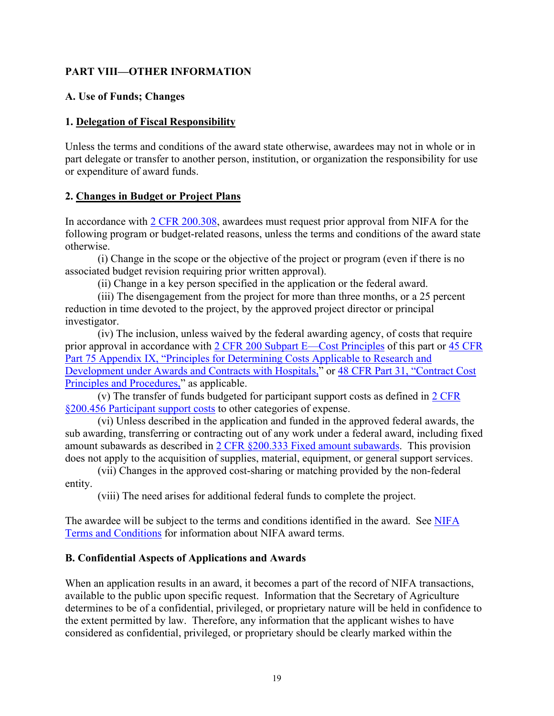# <span id="page-18-0"></span>**PART VIII—OTHER INFORMATION**

#### <span id="page-18-1"></span>**A. Use of Funds; Changes**

#### **1. Delegation of Fiscal Responsibility**

Unless the terms and conditions of the award state otherwise, awardees may not in whole or in part delegate or transfer to another person, institution, or organization the responsibility for use or expenditure of award funds.

#### **2. Changes in Budget or Project Plans**

In accordance with [2 CFR 200.308,](http://www.ecfr.gov/cgi-bin/text-idx?SID=3af89506559b05297e7d0334cb283e24&mc=true&node=se2.1.200_1308&rgn=div8) awardees must request prior approval from NIFA for the following program or budget-related reasons, unless the terms and conditions of the award state otherwise.

(i) Change in the scope or the objective of the project or program (even if there is no associated budget revision requiring prior written approval).

(ii) Change in a key person specified in the application or the federal award.

(iii) The disengagement from the project for more than three months, or a 25 percent reduction in time devoted to the project, by the approved project director or principal investigator.

(iv) The inclusion, unless waived by the federal awarding agency, of costs that require prior approval in accordance with [2 CFR 200 Subpart E—Cost Principles](https://www.ecfr.gov/cgi-bin/text-idx?SID=2810341a5911f090b24115e1aa6e9096&mc=true&node=pt2.1.200&rgn=div5#sp2.1.200.e) of this part or [45 CFR](https://www.ecfr.gov/cgi-bin/text-idx?SID=99cb5d96e8ff844fff0467cf4b6df806&mc=true&node=pt45.1.75&rgn=div5#ap45.1.75_1521.ix)  [Part 75 Appendix IX, "Principles for Determining Costs Applicable to Research and](https://www.ecfr.gov/cgi-bin/text-idx?SID=99cb5d96e8ff844fff0467cf4b6df806&mc=true&node=pt45.1.75&rgn=div5#ap45.1.75_1521.ix)  [Development under Awards and Contracts with Hospitals,"](https://www.ecfr.gov/cgi-bin/text-idx?SID=99cb5d96e8ff844fff0467cf4b6df806&mc=true&node=pt45.1.75&rgn=div5#ap45.1.75_1521.ix) or [48 CFR Part 31, "Contract Cost](https://www.ecfr.gov/cgi-bin/text-idx?SID=64a5653cbbe06c9bfedb474f25642b62&mc=true&node=pt48.1.31&rgn=div5)  [Principles and Procedures,"](https://www.ecfr.gov/cgi-bin/text-idx?SID=64a5653cbbe06c9bfedb474f25642b62&mc=true&node=pt48.1.31&rgn=div5) as applicable.

(v) The transfer of funds budgeted for participant support costs as defined in [2 CFR](https://www.ecfr.gov/cgi-bin/text-idx?SID=ab772c67d822eb2946bcfbcf949589e1&mc=true&node=se2.1.200_1456&rgn=div8)  [§200.456 Participant support costs](https://www.ecfr.gov/cgi-bin/text-idx?SID=ab772c67d822eb2946bcfbcf949589e1&mc=true&node=se2.1.200_1456&rgn=div8) to other categories of expense.

(vi) Unless described in the application and funded in the approved federal awards, the sub awarding, transferring or contracting out of any work under a federal award, including fixed amount subawards as described in [2 CFR §200.333 Fixed amount subawards.](https://www.ecfr.gov/cgi-bin/text-idx?SID=b9c34224802662373d7289130e48b492&mc=true&node=pt2.1.200&rgn=div5#se2.1.200_1333) This provision does not apply to the acquisition of supplies, material, equipment, or general support services.

(vii) Changes in the approved cost-sharing or matching provided by the non-federal entity.

(viii) The need arises for additional federal funds to complete the project.

The awardee will be subject to the terms and conditions identified in the award. See [NIFA](https://nifa.usda.gov/terms-and-conditions)  [Terms and Conditions](https://nifa.usda.gov/terms-and-conditions) for information about NIFA award terms.

#### <span id="page-18-2"></span>**B. Confidential Aspects of Applications and Awards**

When an application results in an award, it becomes a part of the record of NIFA transactions, available to the public upon specific request. Information that the Secretary of Agriculture determines to be of a confidential, privileged, or proprietary nature will be held in confidence to the extent permitted by law. Therefore, any information that the applicant wishes to have considered as confidential, privileged, or proprietary should be clearly marked within the